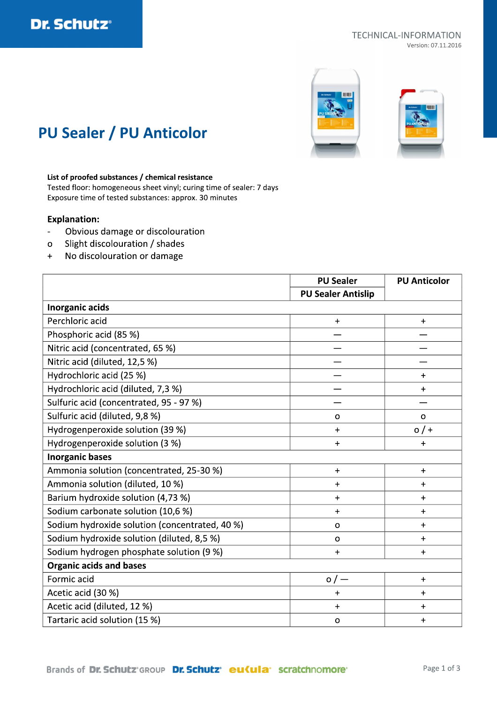

#### TECHNICAL-INFORMATION Version: 07.11.2016



## **PU Sealer / PU Anticolor**

### List of proofed substances / chemical resistance

Tested floor: homogeneous sheet vinyl; curing time of sealer: 7 days Exposure time of tested substances: approx. 30 minutes

### **Explanation:**

- Obvious damage or discolouration  $\frac{1}{2}$
- Slight discolouration / shades  $\circ$
- No discolouration or damage  $+$

|                                                | <b>PU Sealer</b>          | <b>PU Anticolor</b> |  |
|------------------------------------------------|---------------------------|---------------------|--|
|                                                | <b>PU Sealer Antislip</b> |                     |  |
| Inorganic acids                                |                           |                     |  |
| Perchloric acid                                | $\ddagger$                | $+$                 |  |
| Phosphoric acid (85 %)                         |                           |                     |  |
| Nitric acid (concentrated, 65 %)               |                           |                     |  |
| Nitric acid (diluted, 12,5 %)                  |                           |                     |  |
| Hydrochloric acid (25 %)                       |                           | $\ddot{}$           |  |
| Hydrochloric acid (diluted, 7,3 %)             |                           | $\ddot{}$           |  |
| Sulfuric acid (concentrated, 95 - 97 %)        |                           |                     |  |
| Sulfuric acid (diluted, 9,8 %)                 | $\circ$                   | $\circ$             |  |
| Hydrogenperoxide solution (39 %)               | $\ddot{}$                 | $0/$ +              |  |
| Hydrogenperoxide solution (3 %)                | $\ddagger$                | $\ddot{}$           |  |
| <b>Inorganic bases</b>                         |                           |                     |  |
| Ammonia solution (concentrated, 25-30 %)       | $+$                       | $+$                 |  |
| Ammonia solution (diluted, 10 %)               | $\ddot{}$                 | $\ddot{}$           |  |
| Barium hydroxide solution (4,73 %)             | $\ddot{}$                 | $\ddot{}$           |  |
| Sodium carbonate solution (10,6 %)             | $\ddot{}$                 | $\ddot{}$           |  |
| Sodium hydroxide solution (concentrated, 40 %) | $\mathbf 0$               | $+$                 |  |
| Sodium hydroxide solution (diluted, 8,5 %)     | $\mathbf O$               | $\ddot{}$           |  |
| Sodium hydrogen phosphate solution (9 %)       | $\ddot{}$                 | $\ddot{}$           |  |
| <b>Organic acids and bases</b>                 |                           |                     |  |
| Formic acid                                    | $\circ$ / $-$             | $+$                 |  |
| Acetic acid (30 %)                             | $\ddot{}$                 | $\ddot{}$           |  |
| Acetic acid (diluted, 12 %)                    | $\ddag$                   | $\ddot{}$           |  |
| Tartaric acid solution (15 %)                  | $\mathbf{o}$              | $\ddot{}$           |  |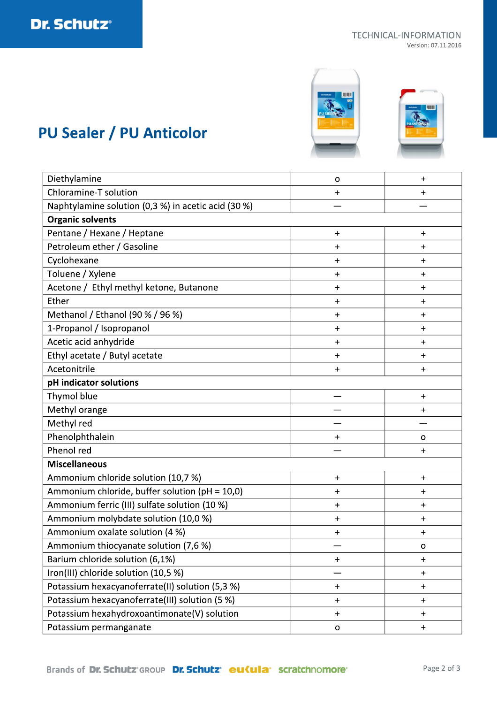#### **TECHNICAL-INFORMATION** Version: 07.11.2016



# **PU Sealer / PU Anticolor**

| Diethylamine                                        | o                                | $\ddag$                          |  |
|-----------------------------------------------------|----------------------------------|----------------------------------|--|
| Chloramine-T solution                               | $\ddot{}$                        | $\ddot{}$                        |  |
| Naphtylamine solution (0,3 %) in acetic acid (30 %) |                                  |                                  |  |
| <b>Organic solvents</b>                             |                                  |                                  |  |
| Pentane / Hexane / Heptane                          | $\ddot{}$                        | $+$                              |  |
| Petroleum ether / Gasoline                          | $\ddot{}$                        | $\div$                           |  |
| Cyclohexane                                         | $\ddot{}$                        | $\ddot{}$                        |  |
| Toluene / Xylene                                    | $\ddot{}$                        | $\ddot{}$                        |  |
| Acetone / Ethyl methyl ketone, Butanone             | $\ddot{}$                        | $+$                              |  |
| Ether                                               | $\ddot{}$                        | $\ddot{}$                        |  |
| Methanol / Ethanol (90 % / 96 %)                    | $\ddot{}$                        | $\ddot{}$                        |  |
| 1-Propanol / Isopropanol                            | $+$                              | $\ddot{\phantom{1}}$             |  |
| Acetic acid anhydride                               | $\ddot{}$                        | $\ddot{}$                        |  |
| Ethyl acetate / Butyl acetate                       | $\ddot{}$                        | $+$                              |  |
| Acetonitrile                                        | $\ddot{}$                        | $\ddag$                          |  |
| pH indicator solutions                              |                                  |                                  |  |
| Thymol blue                                         |                                  | $\ddot{}$                        |  |
| Methyl orange                                       |                                  | $\ddag$                          |  |
| Methyl red                                          |                                  |                                  |  |
| Phenolphthalein                                     | $\ddot{}$                        | o                                |  |
| Phenol red                                          |                                  | $+$                              |  |
| <b>Miscellaneous</b>                                |                                  |                                  |  |
| Ammonium chloride solution (10,7 %)                 | $\ddot{}$                        | $+$                              |  |
| Ammonium chloride, buffer solution (pH = 10,0)      | $\ddag$                          | $\ddot{}$                        |  |
| Ammonium ferric (III) sulfate solution (10 %)       | $\ddot{}$                        | $\ddot{}$                        |  |
| Ammonium molybdate solution (10,0 %)                | $\ddot{}$                        | $\ddag$                          |  |
| Ammonium oxalate solution (4 %)                     | $\ddot{}$                        | $\ddot{}$                        |  |
| Ammonium thiocyanate solution (7,6 %)               |                                  | o                                |  |
| Barium chloride solution (6,1%)                     | $\ddag$                          | $\ddot{}$                        |  |
| Iron(III) chloride solution (10,5 %)                |                                  | $\pmb{+}$                        |  |
| Potassium hexacyanoferrate(II) solution (5,3 %)     | $\ddagger$                       | $+$                              |  |
| Potassium hexacyanoferrate(III) solution (5 %)      | $\begin{array}{c} + \end{array}$ | $\begin{array}{c} + \end{array}$ |  |
| Potassium hexahydroxoantimonate(V) solution         | $\begin{array}{c} + \end{array}$ | $\pm$                            |  |
| Potassium permanganate                              | $\mathbf O$                      | $\ddot{}$                        |  |